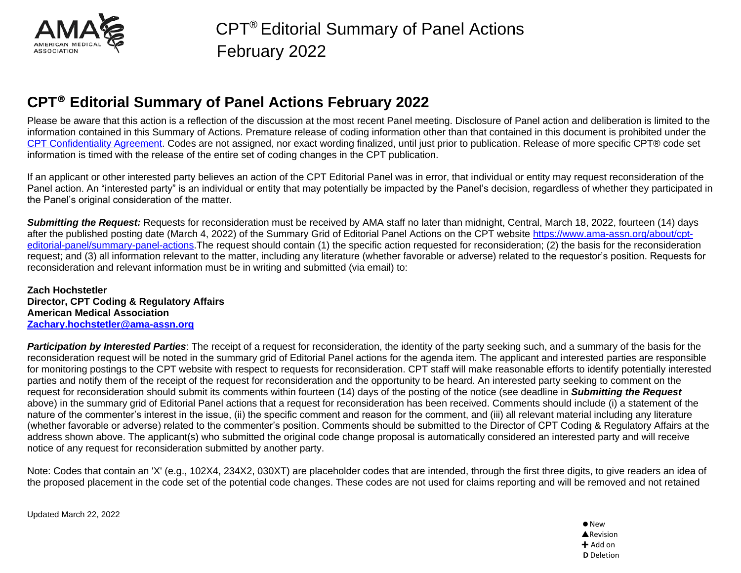

Please be aware that this action is a reflection of the discussion at the most recent Panel meeting. Disclosure of Panel action and deliberation is limited to the information contained in this Summary of Actions. Premature release of coding information other than that contained in this document is prohibited under the [CPT Confidentiality Agreement.](https://www.ama-assn.org/practice-management/cpt/statement-lobbying) Codes are not assigned, nor exact wording finalized, until just prior to publication. Release of more specific CPT® code set information is timed with the release of the entire set of coding changes in the CPT publication.

If an applicant or other interested party believes an action of the CPT Editorial Panel was in error, that individual or entity may request reconsideration of the Panel action. An "interested party" is an individual or entity that may potentially be impacted by the Panel's decision, regardless of whether they participated in the Panel's original consideration of the matter.

*Submitting the Request:* Requests for reconsideration must be received by AMA staff no later than midnight, Central, March 18, 2022, fourteen (14) days after the published posting date (March 4, 2022) of the Summary Grid of Editorial Panel Actions on the CPT website [https://www.ama-assn.org/about/cpt](https://www.ama-assn.org/about/cpt-editorial-panel/summary-panel-actions)[editorial-panel/summary-panel-actions.](https://www.ama-assn.org/about/cpt-editorial-panel/summary-panel-actions)The request should contain (1) the specific action requested for reconsideration; (2) the basis for the reconsideration request; and (3) all information relevant to the matter, including any literature (whether favorable or adverse) related to the requestor's position. Requests for reconsideration and relevant information must be in writing and submitted (via email) to:

**Zach Hochstetler Director, CPT Coding & Regulatory Affairs American Medical Association [Zachary.hochstetler@ama-assn.org](mailto:Zachary.hochstetler@ama-assn.org)**

*Participation by Interested Parties*: The receipt of a request for reconsideration, the identity of the party seeking such, and a summary of the basis for the reconsideration request will be noted in the summary grid of Editorial Panel actions for the agenda item. The applicant and interested parties are responsible for monitoring postings to the CPT website with respect to requests for reconsideration. CPT staff will make reasonable efforts to identify potentially interested parties and notify them of the receipt of the request for reconsideration and the opportunity to be heard. An interested party seeking to comment on the request for reconsideration should submit its comments within fourteen (14) days of the posting of the notice (see deadline in *Submitting the Request* above) in the summary grid of Editorial Panel actions that a request for reconsideration has been received. Comments should include (i) a statement of the nature of the commenter's interest in the issue, (ii) the specific comment and reason for the comment, and (iii) all relevant material including any literature (whether favorable or adverse) related to the commenter's position. Comments should be submitted to the Director of CPT Coding & Regulatory Affairs at the address shown above. The applicant(s) who submitted the original code change proposal is automatically considered an interested party and will receive notice of any request for reconsideration submitted by another party.

Note: Codes that contain an 'X' (e.g., 102X4, 234X2, 030XT) are placeholder codes that are intended, through the first three digits, to give readers an idea of the proposed placement in the code set of the potential code changes. These codes are not used for claims reporting and will be removed and not retained

Updated March 22, 2022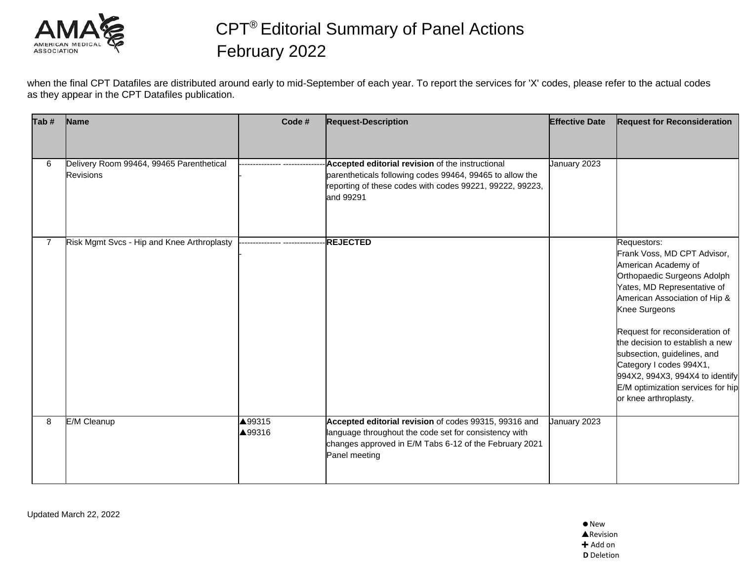

when the final CPT Datafiles are distributed around early to mid-September of each year. To report the services for 'X' codes, please refer to the actual codes as they appear in the CPT Datafiles publication.

| Tab#           | Name                                                         | Code#            | <b>Request-Description</b>                                                                                                                                                                | <b>Effective Date</b> | <b>Request for Reconsideration</b>                                                                                                                                                                                                                                                                                                                                                                                |
|----------------|--------------------------------------------------------------|------------------|-------------------------------------------------------------------------------------------------------------------------------------------------------------------------------------------|-----------------------|-------------------------------------------------------------------------------------------------------------------------------------------------------------------------------------------------------------------------------------------------------------------------------------------------------------------------------------------------------------------------------------------------------------------|
|                |                                                              |                  |                                                                                                                                                                                           |                       |                                                                                                                                                                                                                                                                                                                                                                                                                   |
| 6              | Delivery Room 99464, 99465 Parenthetical<br><b>Revisions</b> |                  | Accepted editorial revision of the instructional<br>parentheticals following codes 99464, 99465 to allow the<br>reporting of these codes with codes 99221, 99222, 99223,<br>and 99291     | January 2023          |                                                                                                                                                                                                                                                                                                                                                                                                                   |
| $\overline{7}$ | Risk Mgmt Svcs - Hip and Knee Arthroplasty                   |                  | <b>REJECTED</b>                                                                                                                                                                           |                       | Requestors:<br>Frank Voss, MD CPT Advisor,<br>American Academy of<br>Orthopaedic Surgeons Adolph<br>Yates, MD Representative of<br>American Association of Hip &<br>Knee Surgeons<br>Request for reconsideration of<br>the decision to establish a new<br>subsection, guidelines, and<br>Category I codes 994X1,<br>994X2, 994X3, 994X4 to identify<br>E/M optimization services for hip<br>or knee arthroplasty. |
| 8              | E/M Cleanup                                                  | ▲99315<br>▲99316 | Accepted editorial revision of codes 99315, 99316 and<br>language throughout the code set for consistency with<br>changes approved in E/M Tabs 6-12 of the February 2021<br>Panel meeting | January 2023          |                                                                                                                                                                                                                                                                                                                                                                                                                   |

Updated March 22, 2022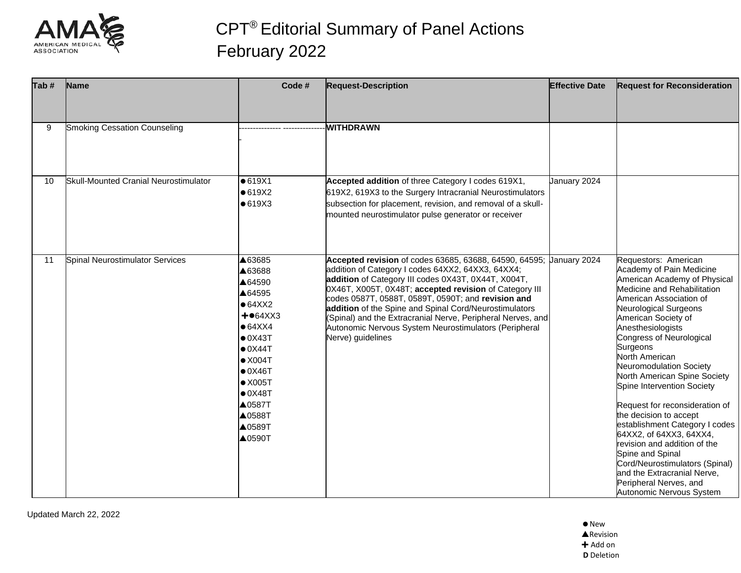

| Tab # | Name                                  | Code #                                                                                                                                                                                                                                                      | <b>Request-Description</b>                                                                                                                                                                                                                                                                                                                                                                                                                                                                             | <b>Effective Date</b> | <b>Request for Reconsideration</b>                                                                                                                                                                                                                                                                                                                                                                                                                                                                                                                                                                                                                                     |
|-------|---------------------------------------|-------------------------------------------------------------------------------------------------------------------------------------------------------------------------------------------------------------------------------------------------------------|--------------------------------------------------------------------------------------------------------------------------------------------------------------------------------------------------------------------------------------------------------------------------------------------------------------------------------------------------------------------------------------------------------------------------------------------------------------------------------------------------------|-----------------------|------------------------------------------------------------------------------------------------------------------------------------------------------------------------------------------------------------------------------------------------------------------------------------------------------------------------------------------------------------------------------------------------------------------------------------------------------------------------------------------------------------------------------------------------------------------------------------------------------------------------------------------------------------------------|
|       |                                       |                                                                                                                                                                                                                                                             |                                                                                                                                                                                                                                                                                                                                                                                                                                                                                                        |                       |                                                                                                                                                                                                                                                                                                                                                                                                                                                                                                                                                                                                                                                                        |
| 9     | <b>Smoking Cessation Counseling</b>   |                                                                                                                                                                                                                                                             | <b>WITHDRAWN</b>                                                                                                                                                                                                                                                                                                                                                                                                                                                                                       |                       |                                                                                                                                                                                                                                                                                                                                                                                                                                                                                                                                                                                                                                                                        |
| 10    | Skull-Mounted Cranial Neurostimulator | •619X1<br>•619X2<br>•619X3                                                                                                                                                                                                                                  | Accepted addition of three Category I codes 619X1,<br>619X2, 619X3 to the Surgery Intracranial Neurostimulators<br>subsection for placement, revision, and removal of a skull-<br>mounted neurostimulator pulse generator or receiver                                                                                                                                                                                                                                                                  | January 2024          |                                                                                                                                                                                                                                                                                                                                                                                                                                                                                                                                                                                                                                                                        |
| 11    | Spinal Neurostimulator Services       | ▲63685<br>▲63688<br>▲64590<br>▲64595<br>$• 64$ XX2<br>$+•64XXX3$<br>$• 64$ $X$ $X$ $4$<br>$\bullet$ 0X43T<br>$\bullet$ 0X44T<br>$\bullet$ X004T<br>$\bullet$ 0X46T<br>$\bullet$ X005T<br>$\bullet$ 0X48T<br>▲0587T<br>▲0588T<br>▲0589T<br>$\triangle$ 0590T | Accepted revision of codes 63685, 63688, 64590, 64595; Uanuary 2024<br>addition of Category I codes 64XX2, 64XX3, 64XX4;<br>addition of Category III codes 0X43T, 0X44T, X004T,<br>0X46T, X005T, 0X48T; accepted revision of Category III<br>codes 0587T, 0588T, 0589T, 0590T; and revision and<br>addition of the Spine and Spinal Cord/Neurostimulators<br>(Spinal) and the Extracranial Nerve, Peripheral Nerves, and<br>Autonomic Nervous System Neurostimulators (Peripheral<br>Nerve) guidelines |                       | Requestors: American<br>Academy of Pain Medicine<br>American Academy of Physical<br>Medicine and Rehabilitation<br>American Association of<br>Neurological Surgeons<br>American Society of<br>Anesthesiologists<br>Congress of Neurological<br>Surgeons<br>North American<br>Neuromodulation Society<br>North American Spine Society<br>Spine Intervention Society<br>Request for reconsideration of<br>the decision to accept<br>establishment Category I codes<br>64XX2, of 64XX3, 64XX4,<br>revision and addition of the<br>Spine and Spinal<br>Cord/Neurostimulators (Spinal)<br>and the Extracranial Nerve,<br>Peripheral Nerves, and<br>Autonomic Nervous System |

Updated March 22, 2022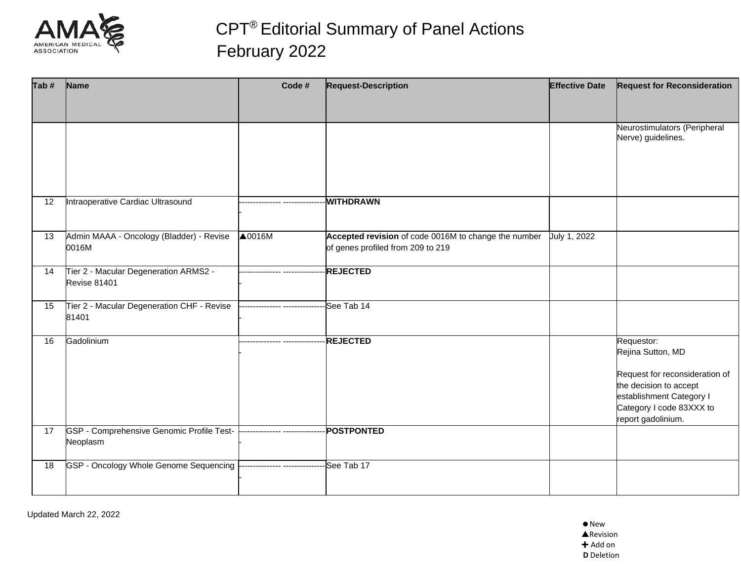

| Tab # | Name                                                         | Code #                         | <b>Request-Description</b>                                                                | <b>Effective Date</b> | <b>Request for Reconsideration</b>                                                                                                                                        |
|-------|--------------------------------------------------------------|--------------------------------|-------------------------------------------------------------------------------------------|-----------------------|---------------------------------------------------------------------------------------------------------------------------------------------------------------------------|
|       |                                                              |                                |                                                                                           |                       |                                                                                                                                                                           |
|       |                                                              |                                |                                                                                           |                       | Neurostimulators (Peripheral<br>Nerve) guidelines.                                                                                                                        |
| 12    | Intraoperative Cardiac Ultrasound                            |                                | <b>WITHDRAWN</b>                                                                          |                       |                                                                                                                                                                           |
| 13    | Admin MAAA - Oncology (Bladder) - Revise<br>0016M            | $\triangle$ 0016M              | Accepted revision of code 0016M to change the number<br>of genes profiled from 209 to 219 | July 1, 2022          |                                                                                                                                                                           |
| 14    | Tier 2 - Macular Degeneration ARMS2 -<br><b>Revise 81401</b> |                                | <b>REJECTED</b>                                                                           |                       |                                                                                                                                                                           |
| 15    | Tier 2 - Macular Degeneration CHF - Revise<br>81401          | ------------ ----------        | See Tab 14                                                                                |                       |                                                                                                                                                                           |
| 16    | Gadolinium                                                   | -------------- --------------- | <b>REJECTED</b>                                                                           |                       | Requestor:<br>Rejina Sutton, MD<br>Request for reconsideration of<br>the decision to accept<br>establishment Category I<br>Category I code 83XXX to<br>report gadolinium. |
| 17    | GSP - Comprehensive Genomic Profile Test-<br>Neoplasm        |                                | <b>POSTPONTED</b>                                                                         |                       |                                                                                                                                                                           |
| 18    | GSP - Oncology Whole Genome Sequencing                       | -------------- ------------    | See Tab 17                                                                                |                       |                                                                                                                                                                           |

Updated March 22, 2022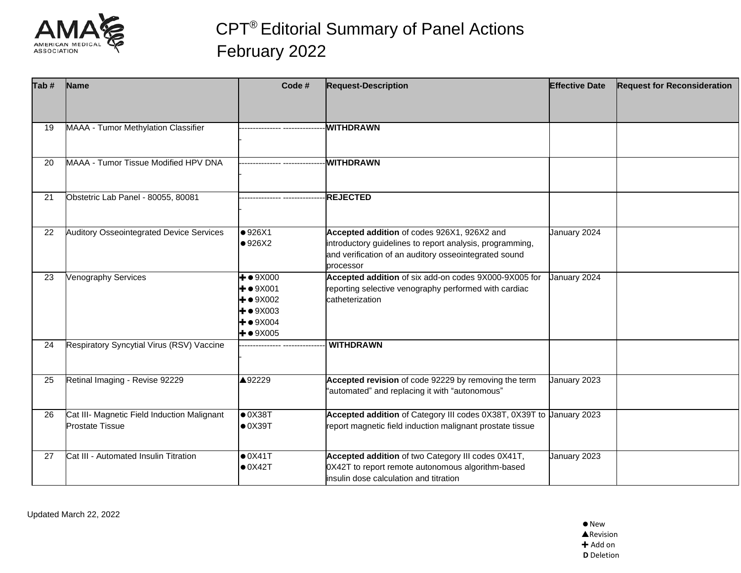

| Tab # | Name                                                                  | Code #                                                                                                                           | <b>Request-Description</b>                                                                                                                                                    | <b>Effective Date</b> | <b>Request for Reconsideration</b> |
|-------|-----------------------------------------------------------------------|----------------------------------------------------------------------------------------------------------------------------------|-------------------------------------------------------------------------------------------------------------------------------------------------------------------------------|-----------------------|------------------------------------|
|       |                                                                       |                                                                                                                                  |                                                                                                                                                                               |                       |                                    |
| 19    | MAAA - Tumor Methylation Classifier                                   |                                                                                                                                  | <b>WITHDRAWN</b>                                                                                                                                                              |                       |                                    |
| 20    | MAAA - Tumor Tissue Modified HPV DNA                                  |                                                                                                                                  | <b>WITHDRAWN</b>                                                                                                                                                              |                       |                                    |
| 21    | Obstetric Lab Panel - 80055, 80081                                    |                                                                                                                                  | <b>REJECTED</b>                                                                                                                                                               |                       |                                    |
| 22    | <b>Auditory Osseointegrated Device Services</b>                       | •926X1<br>•926X2                                                                                                                 | Accepted addition of codes 926X1, 926X2 and<br>introductory guidelines to report analysis, programming,<br>and verification of an auditory osseointegrated sound<br>processor | January 2024          |                                    |
| 23    | <b>Venography Services</b>                                            | $+ \bullet 9X000$<br>$+$ $\bullet$ 9X001<br>$+ \bullet 9X002$<br>$+$ $\bullet$ 9X003<br>$+$ $\bullet$ 9X004<br>$+ \bullet 9X005$ | Accepted addition of six add-on codes 9X000-9X005 for<br>reporting selective venography performed with cardiac<br>catheterization                                             | January 2024          |                                    |
| 24    | Respiratory Syncytial Virus (RSV) Vaccine                             |                                                                                                                                  | <b>WITHDRAWN</b>                                                                                                                                                              |                       |                                    |
| 25    | Retinal Imaging - Revise 92229                                        | ▲92229                                                                                                                           | Accepted revision of code 92229 by removing the term<br>"automated" and replacing it with "autonomous"                                                                        | January 2023          |                                    |
| 26    | Cat III- Magnetic Field Induction Malignant<br><b>Prostate Tissue</b> | $\bullet$ 0X38T<br>$\bullet$ 0X39T                                                                                               | Accepted addition of Category III codes 0X38T, 0X39T to Uanuary 2023<br>report magnetic field induction malignant prostate tissue                                             |                       |                                    |
| 27    | Cat III - Automated Insulin Titration                                 | $\bullet$ 0X41T<br>$\bullet$ 0X42T                                                                                               | Accepted addition of two Category III codes 0X41T,<br>0X42T to report remote autonomous algorithm-based<br>insulin dose calculation and titration                             | January 2023          |                                    |

Updated March 22, 2022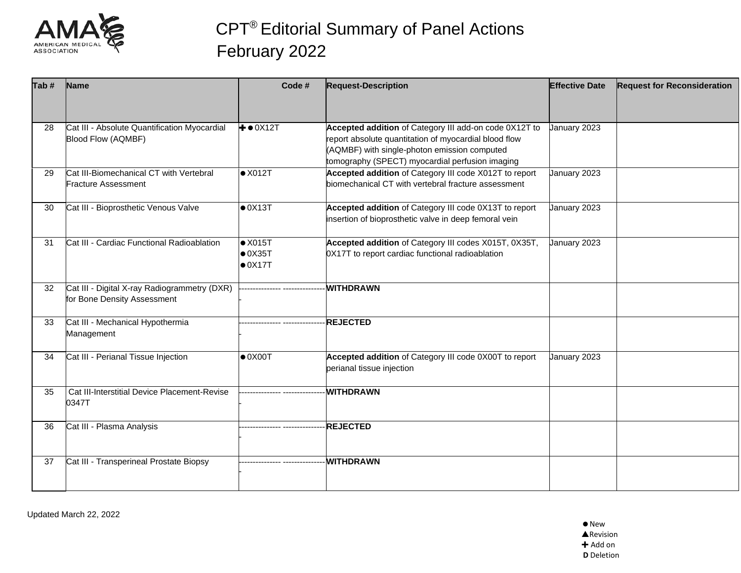

| Tab# | Name                                                                        | Code #                                                | <b>Request-Description</b>                                                                                                                                                                                         | <b>Effective Date</b> | <b>Request for Reconsideration</b> |
|------|-----------------------------------------------------------------------------|-------------------------------------------------------|--------------------------------------------------------------------------------------------------------------------------------------------------------------------------------------------------------------------|-----------------------|------------------------------------|
|      |                                                                             |                                                       |                                                                                                                                                                                                                    |                       |                                    |
| 28   | Cat III - Absolute Quantification Myocardial<br><b>Blood Flow (AQMBF)</b>   | $+ \bullet 0X12T$                                     | Accepted addition of Category III add-on code 0X12T to<br>report absolute quantitation of myocardial blood flow<br>(AQMBF) with single-photon emission computed<br>tomography (SPECT) myocardial perfusion imaging | January 2023          |                                    |
| 29   | Cat III-Biomechanical CT with Vertebral<br><b>Fracture Assessment</b>       | $\bullet$ X012T                                       | Accepted addition of Category III code X012T to report<br>biomechanical CT with vertebral fracture assessment                                                                                                      | January 2023          |                                    |
| 30   | Cat III - Bioprosthetic Venous Valve                                        | $\bullet$ 0X13T                                       | Accepted addition of Category III code 0X13T to report<br>insertion of bioprosthetic valve in deep femoral vein                                                                                                    | January 2023          |                                    |
| 31   | Cat III - Cardiac Functional Radioablation                                  | $\bullet$ X015T<br>$\bullet$ 0X35T<br>$\bullet$ 0X17T | Accepted addition of Category III codes X015T, 0X35T,<br>0X17T to report cardiac functional radioablation                                                                                                          | January 2023          |                                    |
| 32   | Cat III - Digital X-ray Radiogrammetry (DXR)<br>for Bone Density Assessment |                                                       | <b>WITHDRAWN</b>                                                                                                                                                                                                   |                       |                                    |
| 33   | Cat III - Mechanical Hypothermia<br>Management                              |                                                       | <b>REJECTED</b>                                                                                                                                                                                                    |                       |                                    |
| 34   | Cat III - Perianal Tissue Injection                                         | $\bullet$ 0X00T                                       | Accepted addition of Category III code 0X00T to report<br>perianal tissue injection                                                                                                                                | January 2023          |                                    |
| 35   | Cat III-Interstitial Device Placement-Revise<br>0347T                       |                                                       | <b>WITHDRAWN</b>                                                                                                                                                                                                   |                       |                                    |
| 36   | Cat III - Plasma Analysis                                                   | ------------- --------------                          | <b>REJECTED</b>                                                                                                                                                                                                    |                       |                                    |
| 37   | Cat III - Transperineal Prostate Biopsy                                     | ------------- ------------                            | <b>WITHDRAWN</b>                                                                                                                                                                                                   |                       |                                    |

Updated March 22, 2022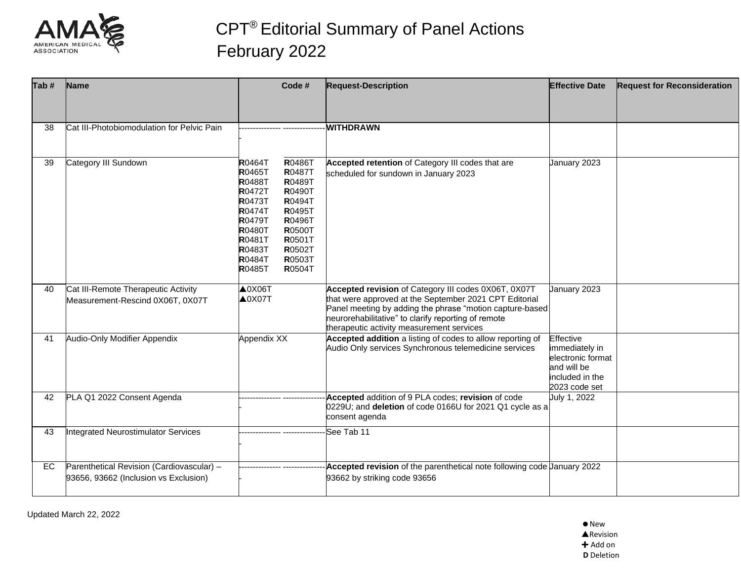

| Tab# | <b>Name</b>                                                                        | Code #                                                                                                                                                                                                                                                                                                                                                              | <b>Request-Description</b>                                                                                                                                                                                                                                                     | <b>Effective Date</b>                                                                               | <b>Request for Reconsideration</b> |
|------|------------------------------------------------------------------------------------|---------------------------------------------------------------------------------------------------------------------------------------------------------------------------------------------------------------------------------------------------------------------------------------------------------------------------------------------------------------------|--------------------------------------------------------------------------------------------------------------------------------------------------------------------------------------------------------------------------------------------------------------------------------|-----------------------------------------------------------------------------------------------------|------------------------------------|
|      |                                                                                    |                                                                                                                                                                                                                                                                                                                                                                     |                                                                                                                                                                                                                                                                                |                                                                                                     |                                    |
| 38   | Cat III-Photobiomodulation for Pelvic Pain                                         |                                                                                                                                                                                                                                                                                                                                                                     | <b>WITHDRAWN</b>                                                                                                                                                                                                                                                               |                                                                                                     |                                    |
| 39   | Category III Sundown                                                               | R0486T<br>R0464T<br><b>R0465T</b><br>R0487T<br><b>R0489T</b><br><b>R0488T</b><br><b>R0472T</b><br>R0490T<br><b>R0473T</b><br>R0494T<br><b>R0474T</b><br><b>R0495T</b><br><b>R0479T</b><br>R0496T<br><b>R0500T</b><br><b>R0480T</b><br><b>R0481T</b><br><b>R0501T</b><br><b>R0483T</b><br><b>R0502T</b><br><b>R0503T</b><br><b>R0484T</b><br>R0504T<br><b>R0485T</b> | Accepted retention of Category III codes that are<br>scheduled for sundown in January 2023                                                                                                                                                                                     | January 2023                                                                                        |                                    |
| 40   | Cat III-Remote Therapeutic Activity<br>Measurement-Rescind 0X06T, 0X07T            | $\triangle$ 0X06T<br>$\triangle$ 0X07T                                                                                                                                                                                                                                                                                                                              | Accepted revision of Category III codes 0X06T, 0X07T<br>that were approved at the September 2021 CPT Editorial<br>Panel meeting by adding the phrase "motion capture-based<br>neurorehabilitative" to clarify reporting of remote<br>therapeutic activity measurement services | January 2023                                                                                        |                                    |
| 41   | Audio-Only Modifier Appendix                                                       | Appendix XX                                                                                                                                                                                                                                                                                                                                                         | Accepted addition a listing of codes to allow reporting of<br>Audio Only services Synchronous telemedicine services                                                                                                                                                            | Effective<br>immediately in<br>electronic format<br>and will be<br>included in the<br>2023 code set |                                    |
| 42   | PLA Q1 2022 Consent Agenda                                                         |                                                                                                                                                                                                                                                                                                                                                                     | Accepted addition of 9 PLA codes; revision of code<br>0229U; and deletion of code 0166U for 2021 Q1 cycle as a<br>consent agenda                                                                                                                                               | July 1, 2022                                                                                        |                                    |
| 43   | <b>Integrated Neurostimulator Services</b>                                         |                                                                                                                                                                                                                                                                                                                                                                     | See Tab 11                                                                                                                                                                                                                                                                     |                                                                                                     |                                    |
| EC   | Parenthetical Revision (Cardiovascular) -<br>93656, 93662 (Inclusion vs Exclusion) |                                                                                                                                                                                                                                                                                                                                                                     | Accepted revision of the parenthetical note following code January 2022<br>93662 by striking code 93656                                                                                                                                                                        |                                                                                                     |                                    |

Updated March 22, 2022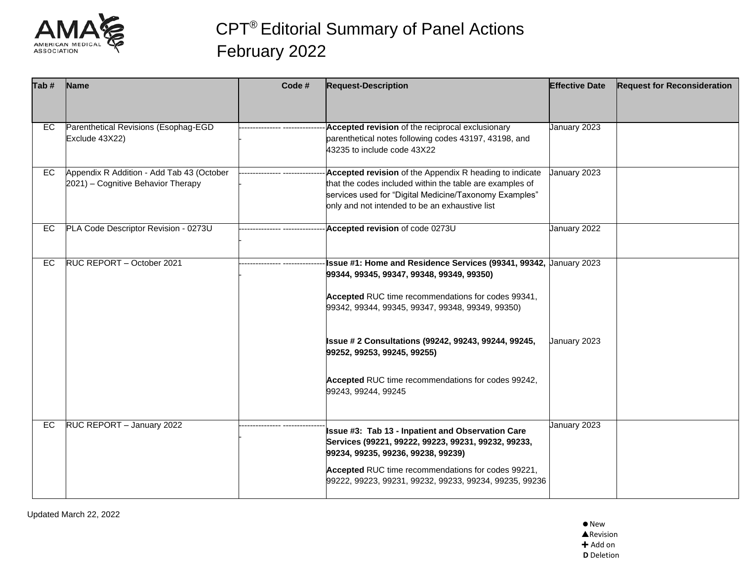

| Parenthetical Revisions (Esophag-EGD<br>Exclude 43X22)                          | Accepted revision of the reciprocal exclusionary<br>parenthetical notes following codes 43197, 43198, and<br>43235 to include code 43X22                                                                                        | January 2023                                     |                                                                                                                                                             |
|---------------------------------------------------------------------------------|---------------------------------------------------------------------------------------------------------------------------------------------------------------------------------------------------------------------------------|--------------------------------------------------|-------------------------------------------------------------------------------------------------------------------------------------------------------------|
| Appendix R Addition - Add Tab 43 (October<br>2021) - Cognitive Behavior Therapy | Accepted revision of the Appendix R heading to indicate<br>that the codes included within the table are examples of<br>services used for "Digital Medicine/Taxonomy Examples"<br>only and not intended to be an exhaustive list |                                                  |                                                                                                                                                             |
| PLA Code Descriptor Revision - 0273U                                            | Accepted revision of code 0273U                                                                                                                                                                                                 | January 2022                                     |                                                                                                                                                             |
| RUC REPORT - October 2021                                                       | 99344, 99345, 99347, 99348, 99349, 99350)<br>Accepted RUC time recommendations for codes 99341,                                                                                                                                 |                                                  |                                                                                                                                                             |
|                                                                                 | <b>Issue #2 Consultations (99242, 99243, 99244, 99245,</b><br>99252, 99253, 99245, 99255)                                                                                                                                       |                                                  |                                                                                                                                                             |
|                                                                                 | Accepted RUC time recommendations for codes 99242,<br>99243, 99244, 99245                                                                                                                                                       |                                                  |                                                                                                                                                             |
| RUC REPORT - January 2022                                                       | Issue #3: Tab 13 - Inpatient and Observation Care<br>Services (99221, 99222, 99223, 99231, 99232, 99233,<br>99234, 99235, 99236, 99238, 99239)<br>Accepted RUC time recommendations for codes 99221,                            | January 2023                                     |                                                                                                                                                             |
|                                                                                 |                                                                                                                                                                                                                                 | 99342, 99344, 99345, 99347, 99348, 99349, 99350) | January 2023<br>Issue #1: Home and Residence Services (99341, 99342, Uanuary 2023<br>January 2023<br>99222, 99223, 99231, 99232, 99233, 99234, 99235, 99236 |

Updated March 22, 2022